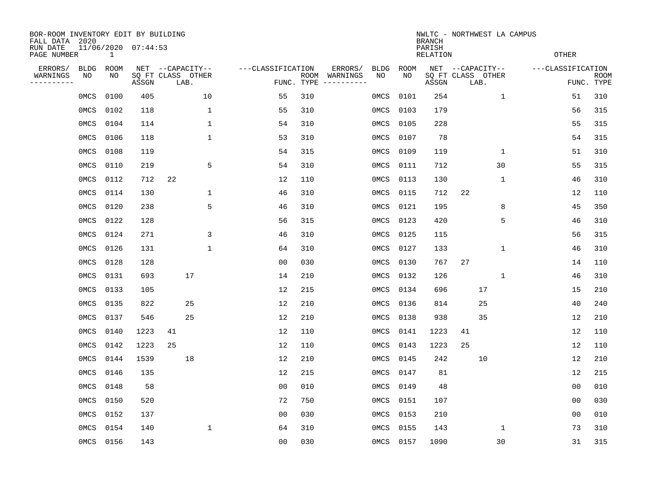| BOR-ROOM INVENTORY EDIT BY BUILDING<br>FALL DATA 2020<br>RUN DATE<br>PAGE NUMBER |                   | $\mathbf{1}$ | 11/06/2020 07:44:53        |                  |      |              |                   |                |                    |                                   |                   |            | <b>BRANCH</b><br>PARISH<br><b>RELATION</b> |                                       |      | NWLTC - NORTHWEST LA CAMPUS | <b>OTHER</b>      |                           |
|----------------------------------------------------------------------------------|-------------------|--------------|----------------------------|------------------|------|--------------|-------------------|----------------|--------------------|-----------------------------------|-------------------|------------|--------------------------------------------|---------------------------------------|------|-----------------------------|-------------------|---------------------------|
| ERRORS/<br>WARNINGS<br>--------                                                  | <b>BLDG</b><br>NO | ROOM<br>NO   | SQ FT CLASS OTHER<br>ASSGN | NET --CAPACITY-- | LAB. |              | ---CLASSIFICATION |                | ROOM<br>FUNC. TYPE | ERRORS/<br>WARNINGS<br>---------- | <b>BLDG</b><br>NO | ROOM<br>NO | ASSGN                                      | NET --CAPACITY--<br>SQ FT CLASS OTHER | LAB. |                             | ---CLASSIFICATION | <b>ROOM</b><br>FUNC. TYPE |
|                                                                                  | 0MCS              | 0100         | 405                        |                  |      | 10           |                   | 55             | 310                |                                   | 0MCS              | 0101       | 254                                        |                                       |      | $\mathbf{1}$                | 51                | 310                       |
|                                                                                  | 0MCS              | 0102         | 118                        |                  |      | $\mathbf 1$  |                   | 55             | 310                |                                   | 0MCS              | 0103       | 179                                        |                                       |      |                             | 56                | 315                       |
|                                                                                  | 0MCS              | 0104         | 114                        |                  |      | $\mathbf{1}$ |                   | 54             | 310                |                                   | 0MCS              | 0105       | 228                                        |                                       |      |                             | 55                | 315                       |
|                                                                                  | 0MCS              | 0106         | 118                        |                  |      | $\mathbf{1}$ |                   | 53             | 310                |                                   | 0MCS              | 0107       | 78                                         |                                       |      |                             | 54                | 315                       |
|                                                                                  | 0MCS              | 0108         | 119                        |                  |      |              |                   | 54             | 315                |                                   | 0MCS              | 0109       | 119                                        |                                       |      | $\mathbf{1}$                | 51                | 310                       |
|                                                                                  | 0MCS              | 0110         | 219                        |                  |      | 5            |                   | 54             | 310                |                                   | 0MCS              | 0111       | 712                                        |                                       |      | 30                          | 55                | 315                       |
|                                                                                  | OMCS              | 0112         | 712                        | 22               |      |              |                   | 12             | 110                |                                   | 0MCS              | 0113       | 130                                        |                                       |      | $\mathbf{1}$                | 46                | 310                       |
|                                                                                  | 0MCS              | 0114         | 130                        |                  |      | 1            |                   | 46             | 310                |                                   | 0MCS              | 0115       | 712                                        | 22                                    |      |                             | 12                | 110                       |
|                                                                                  | 0MCS              | 0120         | 238                        |                  |      | 5            |                   | 46             | 310                |                                   | 0MCS              | 0121       | 195                                        |                                       |      | 8                           | 45                | 350                       |
|                                                                                  | 0MCS              | 0122         | 128                        |                  |      |              |                   | 56             | 315                |                                   | 0MCS              | 0123       | 420                                        |                                       |      | 5                           | 46                | 310                       |
|                                                                                  | 0MCS              | 0124         | 271                        |                  |      | 3            |                   | 46             | 310                |                                   | 0MCS              | 0125       | 115                                        |                                       |      |                             | 56                | 315                       |
|                                                                                  | 0MCS              | 0126         | 131                        |                  |      | $\mathbf 1$  |                   | 64             | 310                |                                   | 0MCS              | 0127       | 133                                        |                                       |      | $\mathbf 1$                 | 46                | 310                       |
|                                                                                  | 0MCS              | 0128         | 128                        |                  |      |              |                   | 0 <sub>0</sub> | 030                |                                   | 0MCS              | 0130       | 767                                        | 27                                    |      |                             | 14                | 110                       |
|                                                                                  | 0MCS              | 0131         | 693                        |                  | 17   |              |                   | 14             | 210                |                                   | 0MCS              | 0132       | 126                                        |                                       |      | 1                           | 46                | 310                       |
|                                                                                  | 0MCS              | 0133         | 105                        |                  |      |              |                   | 12             | 215                |                                   | 0MCS              | 0134       | 696                                        |                                       | 17   |                             | 15                | 210                       |
|                                                                                  | 0MCS              | 0135         | 822                        |                  | 25   |              |                   | 12             | 210                |                                   | 0MCS              | 0136       | 814                                        |                                       | 25   |                             | 40                | 240                       |
|                                                                                  | 0MCS              | 0137         | 546                        |                  | 25   |              |                   | 12             | 210                |                                   | 0MCS              | 0138       | 938                                        |                                       | 35   |                             | 12                | 210                       |
|                                                                                  | 0MCS              | 0140         | 1223                       | 41               |      |              |                   | 12             | 110                |                                   | 0MCS              | 0141       | 1223                                       | 41                                    |      |                             | 12                | 110                       |
|                                                                                  | 0MCS              | 0142         | 1223                       | 25               |      |              |                   | 12             | 110                |                                   | 0MCS              | 0143       | 1223                                       | 25                                    |      |                             | 12                | 110                       |
|                                                                                  | 0MCS              | 0144         | 1539                       |                  | 18   |              |                   | 12             | 210                |                                   | 0MCS              | 0145       | 242                                        |                                       | 10   |                             | 12                | 210                       |
|                                                                                  | 0MCS              | 0146         | 135                        |                  |      |              |                   | 12             | 215                |                                   | 0MCS              | 0147       | 81                                         |                                       |      |                             | 12                | 215                       |
|                                                                                  | 0MCS              | 0148         | 58                         |                  |      |              |                   | 0 <sub>0</sub> | 010                |                                   | 0MCS              | 0149       | 48                                         |                                       |      |                             | 0 <sub>0</sub>    | 010                       |
|                                                                                  | 0MCS              | 0150         | 520                        |                  |      |              |                   | 72             | 750                |                                   | 0MCS              | 0151       | 107                                        |                                       |      |                             | 0 <sub>0</sub>    | 030                       |
|                                                                                  | 0MCS              | 0152         | 137                        |                  |      |              |                   | 0 <sub>0</sub> | 030                |                                   | 0MCS              | 0153       | 210                                        |                                       |      |                             | 00                | 010                       |
|                                                                                  | 0MCS              | 0154         | 140                        |                  |      | 1            |                   | 64             | 310                |                                   | 0MCS              | 0155       | 143                                        |                                       |      | 1                           | 73                | 310                       |
|                                                                                  | 0MCS 0156         |              | 143                        |                  |      |              |                   | 0 <sub>0</sub> | 030                |                                   |                   | 0MCS 0157  | 1090                                       |                                       |      | 30                          | 31                | 315                       |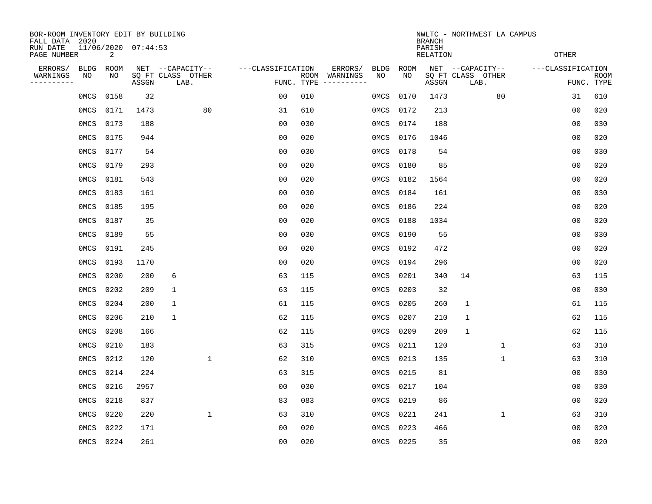| BOR-ROOM INVENTORY EDIT BY BUILDING<br>FALL DATA 2020            |      |            |       |                                               |                   |            |                                         |                   |              | <b>BRANCH</b><br>PARISH | NWLTC - NORTHWEST LA CAMPUS                   |                   |                           |
|------------------------------------------------------------------|------|------------|-------|-----------------------------------------------|-------------------|------------|-----------------------------------------|-------------------|--------------|-------------------------|-----------------------------------------------|-------------------|---------------------------|
| 11/06/2020 07:44:53<br>RUN DATE<br>$\overline{2}$<br>PAGE NUMBER |      |            |       |                                               |                   |            |                                         |                   | <b>OTHER</b> |                         |                                               |                   |                           |
| ERRORS/<br>WARNINGS<br>NO<br>---------                           | BLDG | ROOM<br>NO | ASSGN | NET --CAPACITY--<br>SQ FT CLASS OTHER<br>LAB. | ---CLASSIFICATION | FUNC. TYPE | ERRORS/<br>ROOM WARNINGS<br>----------- | <b>BLDG</b><br>NO | ROOM<br>NO   | ASSGN                   | NET --CAPACITY--<br>SQ FT CLASS OTHER<br>LAB. | ---CLASSIFICATION | <b>ROOM</b><br>FUNC. TYPE |
|                                                                  | 0MCS | 0158       | 32    |                                               | 0 <sub>0</sub>    | 010        |                                         | 0MCS              | 0170         | 1473                    | 80                                            | 31                | 610                       |
|                                                                  | 0MCS | 0171       | 1473  | 80                                            | 31                | 610        |                                         | 0MCS              | 0172         | 213                     |                                               | 00                | 020                       |
|                                                                  | 0MCS | 0173       | 188   |                                               | 0 <sub>0</sub>    | 030        |                                         | OMCS              | 0174         | 188                     |                                               | 0 <sub>0</sub>    | 030                       |
|                                                                  | 0MCS | 0175       | 944   |                                               | 0 <sub>0</sub>    | 020        |                                         | 0MCS              | 0176         | 1046                    |                                               | 0 <sub>0</sub>    | 020                       |
|                                                                  | 0MCS | 0177       | 54    |                                               | 0 <sub>0</sub>    | 030        |                                         | 0MCS              | 0178         | 54                      |                                               | 00                | 030                       |
|                                                                  | 0MCS | 0179       | 293   |                                               | 0 <sub>0</sub>    | 020        |                                         | 0MCS              | 0180         | 85                      |                                               | 0 <sub>0</sub>    | 020                       |
|                                                                  | 0MCS | 0181       | 543   |                                               | 0 <sub>0</sub>    | 020        |                                         | 0MCS              | 0182         | 1564                    |                                               | 0 <sub>0</sub>    | 020                       |
|                                                                  | 0MCS | 0183       | 161   |                                               | 0 <sub>0</sub>    | 030        |                                         | 0MCS              | 0184         | 161                     |                                               | 0 <sub>0</sub>    | 030                       |
|                                                                  | 0MCS | 0185       | 195   |                                               | 0 <sub>0</sub>    | 020        |                                         | 0MCS              | 0186         | 224                     |                                               | 0 <sub>0</sub>    | 020                       |
|                                                                  | 0MCS | 0187       | 35    |                                               | 0 <sub>0</sub>    | 020        |                                         | 0MCS              | 0188         | 1034                    |                                               | 0 <sub>0</sub>    | 020                       |
|                                                                  | 0MCS | 0189       | 55    |                                               | 0 <sub>0</sub>    | 030        |                                         | 0MCS              | 0190         | 55                      |                                               | 0 <sub>0</sub>    | 030                       |
|                                                                  | 0MCS | 0191       | 245   |                                               | 0 <sub>0</sub>    | 020        |                                         | 0MCS              | 0192         | 472                     |                                               | 0 <sub>0</sub>    | 020                       |
|                                                                  | 0MCS | 0193       | 1170  |                                               | 0 <sub>0</sub>    | 020        |                                         | 0MCS              | 0194         | 296                     |                                               | 0 <sub>0</sub>    | 020                       |
|                                                                  | 0MCS | 0200       | 200   | 6                                             | 63                | 115        |                                         | 0MCS              | 0201         | 340                     | 14                                            | 63                | 115                       |
|                                                                  | 0MCS | 0202       | 209   | 1                                             | 63                | 115        |                                         | OMCS              | 0203         | 32                      |                                               | 0 <sub>0</sub>    | 030                       |
|                                                                  | 0MCS | 0204       | 200   | 1                                             | 61                | 115        |                                         | 0MCS              | 0205         | 260                     | 1                                             | 61                | 115                       |
|                                                                  | 0MCS | 0206       | 210   | $\mathbf{1}$                                  | 62                | 115        |                                         | 0MCS              | 0207         | 210                     | 1                                             | 62                | 115                       |
|                                                                  | 0MCS | 0208       | 166   |                                               | 62                | 115        |                                         | 0MCS              | 0209         | 209                     | 1                                             | 62                | 115                       |
|                                                                  | 0MCS | 0210       | 183   |                                               | 63                | 315        |                                         | 0MCS              | 0211         | 120                     | $\mathbf 1$                                   | 63                | 310                       |
|                                                                  | 0MCS | 0212       | 120   | $\mathbf 1$                                   | 62                | 310        |                                         | 0MCS              | 0213         | 135                     | $\mathbf 1$                                   | 63                | 310                       |
|                                                                  | 0MCS | 0214       | 224   |                                               | 63                | 315        |                                         | 0MCS              | 0215         | 81                      |                                               | 0 <sub>0</sub>    | 030                       |
|                                                                  | 0MCS | 0216       | 2957  |                                               | 0 <sub>0</sub>    | 030        |                                         | 0MCS              | 0217         | 104                     |                                               | 00                | 030                       |
|                                                                  | 0MCS | 0218       | 837   |                                               | 83                | 083        |                                         | 0MCS              | 0219         | 86                      |                                               | 0 <sub>0</sub>    | 020                       |
|                                                                  | 0MCS | 0220       | 220   | $\mathbf 1$                                   | 63                | 310        |                                         | 0MCS              | 0221         | 241                     | $\mathbf{1}$                                  | 63                | 310                       |
|                                                                  | 0MCS | 0222       | 171   |                                               | 00                | 020        |                                         | 0MCS              | 0223         | 466                     |                                               | 00                | 020                       |
|                                                                  | OMCS | 0224       | 261   |                                               | 0 <sub>0</sub>    | 020        |                                         | 0MCS 0225         |              | 35                      |                                               | 0 <sub>0</sub>    | 020                       |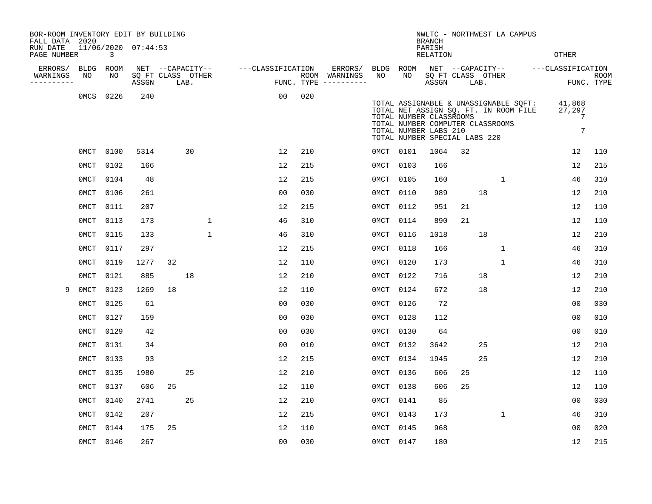| BOR-ROOM INVENTORY EDIT BY BUILDING<br>FALL DATA 2020 |             |           |                            |                  |      |              |                   |                |     |                                      |           |      | <b>BRANCH</b>                                                                                                         |                   |      | NWLTC - NORTHWEST LA CAMPUS                                                    |                                    |                    |
|-------------------------------------------------------|-------------|-----------|----------------------------|------------------|------|--------------|-------------------|----------------|-----|--------------------------------------|-----------|------|-----------------------------------------------------------------------------------------------------------------------|-------------------|------|--------------------------------------------------------------------------------|------------------------------------|--------------------|
| RUN DATE<br>PAGE NUMBER                               |             | 3         | 11/06/2020 07:44:53        |                  |      |              |                   |                |     |                                      |           |      | PARISH<br>RELATION                                                                                                    |                   |      |                                                                                | <b>OTHER</b>                       |                    |
| ERRORS/                                               | <b>BLDG</b> | ROOM      |                            | NET --CAPACITY-- |      |              | ---CLASSIFICATION |                |     | ERRORS/                              | BLDG ROOM |      |                                                                                                                       |                   |      |                                                                                | NET --CAPACITY-- ---CLASSIFICATION |                    |
| WARNINGS<br>---------                                 | NO          | NO.       | SQ FT CLASS OTHER<br>ASSGN |                  | LAB. |              |                   |                |     | ROOM WARNINGS<br>FUNC. TYPE $------$ | NO.       | NO.  | ASSGN                                                                                                                 | SQ FT CLASS OTHER | LAB. |                                                                                |                                    | ROOM<br>FUNC. TYPE |
|                                                       | 0MCS        | 0226      | 240                        |                  |      |              |                   | 0 <sub>0</sub> | 020 |                                      |           |      | TOTAL NUMBER CLASSROOMS<br>TOTAL NUMBER COMPUTER CLASSROOMS<br>TOTAL NUMBER LABS 210<br>TOTAL NUMBER SPECIAL LABS 220 |                   |      | TOTAL ASSIGNABLE & UNASSIGNABLE SQFT:<br>TOTAL NET ASSIGN SQ. FT. IN ROOM FILE | 41,868<br>27,297<br>7<br>7         |                    |
|                                                       |             | 0MCT 0100 | 5314                       |                  | 30   |              |                   | 12             | 210 |                                      | 0MCT 0101 |      | 1064                                                                                                                  | 32                |      |                                                                                | 12                                 | 110                |
|                                                       | 0MCT        | 0102      | 166                        |                  |      |              |                   | 12             | 215 |                                      | 0MCT      | 0103 | 166                                                                                                                   |                   |      |                                                                                | 12                                 | 215                |
|                                                       | 0MCT        | 0104      | 48                         |                  |      |              |                   | 12             | 215 |                                      | 0MCT      | 0105 | 160                                                                                                                   |                   |      | $\mathbf{1}$                                                                   | 46                                 | 310                |
|                                                       | 0MCT        | 0106      | 261                        |                  |      |              |                   | 0 <sub>0</sub> | 030 |                                      | 0MCT      | 0110 | 989                                                                                                                   |                   | 18   |                                                                                | 12                                 | 210                |
|                                                       | 0MCT        | 0111      | 207                        |                  |      |              |                   | 12             | 215 |                                      | 0MCT      | 0112 | 951                                                                                                                   | 21                |      |                                                                                | 12                                 | 110                |
|                                                       | 0MCT        | 0113      | 173                        |                  |      | $\mathbf{1}$ |                   | 46             | 310 |                                      | 0MCT      | 0114 | 890                                                                                                                   | 21                |      |                                                                                | 12                                 | 110                |
|                                                       | 0MCT        | 0115      | 133                        |                  |      | $\mathbf{1}$ |                   | 46             | 310 |                                      | 0MCT      | 0116 | 1018                                                                                                                  |                   | 18   |                                                                                | 12                                 | 210                |
|                                                       | 0MCT        | 0117      | 297                        |                  |      |              |                   | 12             | 215 |                                      | 0MCT      | 0118 | 166                                                                                                                   |                   |      | $\mathbf{1}$                                                                   | 46                                 | 310                |
|                                                       | 0MCT        | 0119      | 1277                       | 32               |      |              |                   | 12             | 110 |                                      | 0MCT      | 0120 | 173                                                                                                                   |                   |      | $\mathbf 1$                                                                    | 46                                 | 310                |
|                                                       | 0MCT        | 0121      | 885                        |                  | 18   |              |                   | 12             | 210 |                                      | 0MCT      | 0122 | 716                                                                                                                   |                   | 18   |                                                                                | 12                                 | 210                |
| 9                                                     | 0MCT        | 0123      | 1269                       | 18               |      |              |                   | 12             | 110 |                                      | 0MCT      | 0124 | 672                                                                                                                   |                   | 18   |                                                                                | 12                                 | 210                |
|                                                       | 0MCT        | 0125      | 61                         |                  |      |              |                   | 00             | 030 |                                      | 0MCT      | 0126 | 72                                                                                                                    |                   |      |                                                                                | 00                                 | 030                |
|                                                       | 0MCT        | 0127      | 159                        |                  |      |              |                   | 0 <sub>0</sub> | 030 |                                      | 0MCT      | 0128 | 112                                                                                                                   |                   |      |                                                                                | 0 <sub>0</sub>                     | 010                |
|                                                       | 0MCT        | 0129      | 42                         |                  |      |              |                   | 0 <sub>0</sub> | 030 |                                      | 0MCT      | 0130 | 64                                                                                                                    |                   |      |                                                                                | 0 <sub>0</sub>                     | 010                |
|                                                       | 0MCT        | 0131      | 34                         |                  |      |              |                   | 0 <sub>0</sub> | 010 |                                      | 0MCT      | 0132 | 3642                                                                                                                  |                   | 25   |                                                                                | 12                                 | 210                |
|                                                       | 0MCT        | 0133      | 93                         |                  |      |              |                   | 12             | 215 |                                      | 0MCT      | 0134 | 1945                                                                                                                  |                   | 25   |                                                                                | 12                                 | 210                |
|                                                       | 0MCT        | 0135      | 1980                       |                  | 25   |              |                   | 12             | 210 |                                      | 0MCT      | 0136 | 606                                                                                                                   | 25                |      |                                                                                | 12                                 | 110                |
|                                                       | 0MCT        | 0137      | 606                        | 25               |      |              |                   | 12             | 110 |                                      | 0MCT      | 0138 | 606                                                                                                                   | 25                |      |                                                                                | 12                                 | 110                |
|                                                       | 0MCT        | 0140      | 2741                       |                  | 25   |              |                   | 12             | 210 |                                      | 0MCT      | 0141 | 85                                                                                                                    |                   |      |                                                                                | 00                                 | 030                |
|                                                       | 0MCT        | 0142      | 207                        |                  |      |              |                   | 12             | 215 |                                      | 0MCT      | 0143 | 173                                                                                                                   |                   |      | $\mathbf 1$                                                                    | 46                                 | 310                |
|                                                       | 0MCT        | 0144      | 175                        | 25               |      |              |                   | 12             | 110 |                                      | 0MCT      | 0145 | 968                                                                                                                   |                   |      |                                                                                | 0 <sub>0</sub>                     | 020                |
|                                                       |             | 0MCT 0146 | 267                        |                  |      |              |                   | 0 <sub>0</sub> | 030 |                                      | 0MCT 0147 |      | 180                                                                                                                   |                   |      |                                                                                | 12                                 | 215                |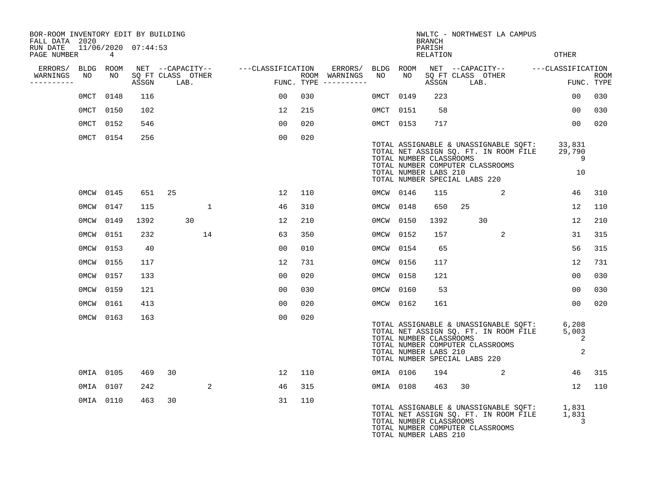| BOR-ROOM INVENTORY EDIT BY BUILDING<br>FALL DATA 2020 |           |                     |                           |                   |     |                                      |           |           | <b>BRANCH</b>                                                                     |    | NWLTC - NORTHWEST LA CAMPUS                                                                                        |                                    |                           |
|-------------------------------------------------------|-----------|---------------------|---------------------------|-------------------|-----|--------------------------------------|-----------|-----------|-----------------------------------------------------------------------------------|----|--------------------------------------------------------------------------------------------------------------------|------------------------------------|---------------------------|
| RUN DATE<br>PAGE NUMBER                               | 4         | 11/06/2020 07:44:53 |                           |                   |     |                                      |           |           | PARISH<br>RELATION                                                                |    |                                                                                                                    | OTHER                              |                           |
| ERRORS/                                               | BLDG ROOM |                     | NET --CAPACITY--          | ---CLASSIFICATION |     | ERRORS/                              | BLDG ROOM |           |                                                                                   |    |                                                                                                                    | NET --CAPACITY-- ---CLASSIFICATION |                           |
| WARNINGS<br>NO<br>----------                          | NO        | ASSGN               | SQ FT CLASS OTHER<br>LAB. |                   |     | ROOM WARNINGS<br>FUNC. TYPE $------$ | NO        | NO        | ASSGN                                                                             |    | SQ FT CLASS OTHER<br>LAB.                                                                                          |                                    | <b>ROOM</b><br>FUNC. TYPE |
| 0MCT                                                  | 0148      | 116                 |                           | 00                | 030 |                                      | 0MCT 0149 |           | 223                                                                               |    |                                                                                                                    | $00 \,$                            | 030                       |
|                                                       | 0MCT 0150 | 102                 |                           | 12                | 215 |                                      | 0MCT 0151 |           | 58                                                                                |    |                                                                                                                    | 00                                 | 030                       |
|                                                       | 0MCT 0152 | 546                 |                           | 0 <sub>0</sub>    | 020 |                                      |           | 0MCT 0153 | 717                                                                               |    |                                                                                                                    | 0 <sub>0</sub>                     | 020                       |
|                                                       | 0MCT 0154 | 256                 |                           | 00                | 020 |                                      |           |           | TOTAL NUMBER CLASSROOMS<br>TOTAL NUMBER LABS 210<br>TOTAL NUMBER SPECIAL LABS 220 |    | TOTAL ASSIGNABLE & UNASSIGNABLE SQFT:<br>TOTAL NET ASSIGN SQ. FT. IN ROOM FILE<br>TOTAL NUMBER COMPUTER CLASSROOMS | 33,831<br>29,790<br>9<br>10        |                           |
|                                                       | 0MCW 0145 | 651                 | 25                        | 12                | 110 |                                      | 0MCW 0146 |           | 115                                                                               |    | 2                                                                                                                  | 46                                 | 310                       |
| 0MCW                                                  | 0147      | 115                 | $\mathbf 1$               | 46                | 310 |                                      | 0MCW 0148 |           | 650                                                                               | 25 |                                                                                                                    | 12                                 | 110                       |
| 0MCW                                                  | 0149      | 1392                | 30                        | 12                | 210 |                                      | 0MCW 0150 |           | 1392                                                                              |    | 30                                                                                                                 | 12                                 | 210                       |
| 0MCW                                                  | 0151      | 232                 | 14                        | 63                | 350 |                                      | 0MCW      | 0152      | 157                                                                               |    | 2                                                                                                                  | 31                                 | 315                       |
| 0MCW                                                  | 0153      | 40                  |                           | 0 <sub>0</sub>    | 010 |                                      | 0MCW      | 0154      | 65                                                                                |    |                                                                                                                    | 56                                 | 315                       |
| OMCW                                                  | 0155      | 117                 |                           | 12                | 731 |                                      | OMCW      | 0156      | 117                                                                               |    |                                                                                                                    | 12                                 | 731                       |
| OMCW                                                  | 0157      | 133                 |                           | 0 <sub>0</sub>    | 020 |                                      | 0MCW 0158 |           | 121                                                                               |    |                                                                                                                    | 0 <sub>0</sub>                     | 030                       |
| OMCW                                                  | 0159      | 121                 |                           | 0 <sub>0</sub>    | 030 |                                      | OMCW      | 0160      | 53                                                                                |    |                                                                                                                    | $00 \,$                            | 030                       |
| OMCW                                                  | 0161      | 413                 |                           | 00                | 020 |                                      | 0MCW 0162 |           | 161                                                                               |    |                                                                                                                    | 00                                 | 020                       |
|                                                       | 0MCW 0163 | 163                 |                           | 00                | 020 |                                      |           |           | TOTAL NUMBER CLASSROOMS<br>TOTAL NUMBER LABS 210<br>TOTAL NUMBER SPECIAL LABS 220 |    | TOTAL ASSIGNABLE & UNASSIGNABLE SQFT:<br>TOTAL NET ASSIGN SQ. FT. IN ROOM FILE<br>TOTAL NUMBER COMPUTER CLASSROOMS | 6,208<br>5,003<br>2<br>2           |                           |
|                                                       | 0MIA 0105 | 469                 | 30                        | 12                | 110 |                                      | 0MIA 0106 |           | 194                                                                               |    | 2                                                                                                                  | 46                                 | 315                       |
|                                                       | 0MIA 0107 | 242                 | 2                         | 46                | 315 |                                      |           | 0MIA 0108 | 463                                                                               | 30 |                                                                                                                    | 12                                 | 110                       |
|                                                       | 0MIA 0110 | 463                 | 30                        | 31                | 110 |                                      |           |           | TOTAL NUMBER CLASSROOMS<br>TOTAL NUMBER LABS 210                                  |    | TOTAL ASSIGNABLE & UNASSIGNABLE SQFT:<br>TOTAL NET ASSIGN SQ. FT. IN ROOM FILE<br>TOTAL NUMBER COMPUTER CLASSROOMS | 1,831<br>1,831<br>3                |                           |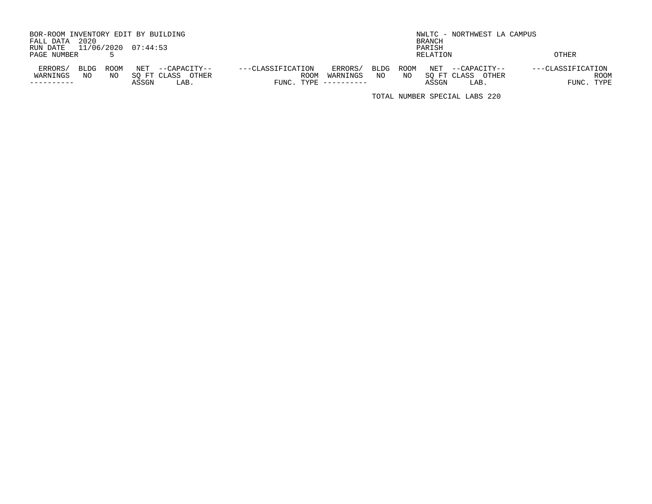| BOR-ROOM INVENTORY EDIT BY BUILDING |                                          |                     |              | NWLTC - NORTHWEST LA CAMPUS |                   |
|-------------------------------------|------------------------------------------|---------------------|--------------|-----------------------------|-------------------|
| 2020<br>FALL DATA                   |                                          |                     | BRANCH       |                             |                   |
| 11/06/2020 07:44:53<br>RUN DATE     |                                          |                     | PARISH       |                             |                   |
| PAGE NUMBER                         |                                          |                     |              | RELATION                    | <b>OTHER</b>      |
|                                     |                                          |                     |              |                             |                   |
| ERRORS/<br>BLDG<br>ROOM             | NET<br>---CLASSIFICATION<br>--CAPACITY-- | ERRORS/             | ROOM<br>BLDG | NET<br>--CAPACITY--         | ---CLASSIFICATION |
| WARNINGS<br>NO<br>NO.               | SO FT CLASS<br>OTHER                     | ROOM<br>WARNINGS    | NO.<br>NO    | SO FT CLASS<br>OTHER        | ROOM              |
|                                     | LAB.<br>ASSGN                            | FUNC. TYPE $------$ |              | ASSGN<br>LAB.               | FUNC. TYPE        |

TOTAL NUMBER SPECIAL LABS 220